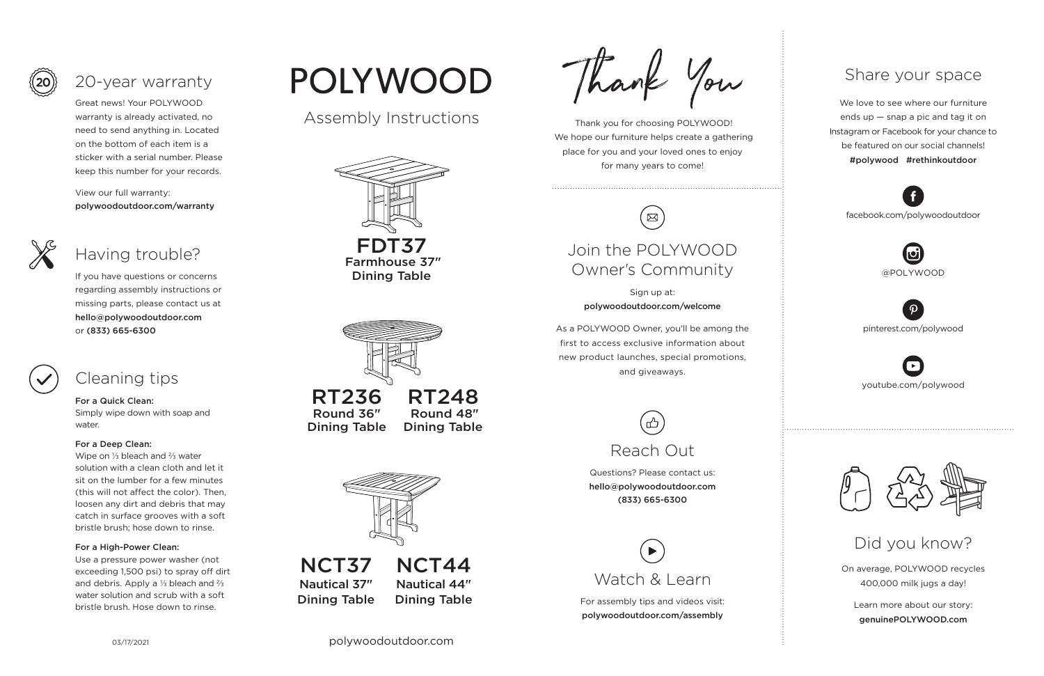03/17/2021 polywoodoutdoor.com

 Thank you for choosing POLYWOOD! We hope our furniture helps create a gathering place for you and your loved ones to enjoy for many years to come!



On average, POLYWOOD recycles 400,000 milk jugs a day!

Learn more about our story: genuinePOLYWOOD.com

We love to see where our furniture ends up — snap a pic and tag it on Instagram or Facebook for your chance to be featured on our social channels! #polywood #rethinkoutdoor



youtube.com/polywood



pinterest.com/polywood



facebook.com/polywoodoutdoor





### Share your space

Did you know?

Great news! Your POLYWOOD warranty is already activated, no need to send anything in. Located on the bottom of each item is a sticker with a serial number. Please keep this number for your records.

View our full warranty: polywoodoutdoor.com/warranty



### For a Quick Clean:

Simply wipe down with soap and water.

### For a Deep Clean:

Wipe on ⅓ bleach and ⅔ water solution with a clean cloth and let it sit on the lumber for a few minutes (this will not affect the color). Then, loosen any dirt and debris that may catch in surface grooves with a soft bristle brush; hose down to rinse.

### For a High-Power Clean:

Use a pressure power washer (not exceeding 1,500 psi) to spray off dirt and debris. Apply a ⅓ bleach and ⅔ water solution and scrub with a soft bristle brush. Hose down to rinse.

# **POLYWOOD**

If you have questions or concerns regarding assembly instructions or missing parts, please contact us at hello@polywoodoutdoor.com or (833) 665-6300





## 20-year warranty

## Having trouble?

## Cleaning tips

For assembly tips and videos visit: polywoodoutdoor.com/assembly



Sign up at: polywoodoutdoor.com/welcome

As a POLYWOOD Owner, you'll be among the first to access exclusive information about new product launches, special promotions, and giveaways.

## Join the POLYWOOD Owner's Community

Questions? Please contact us: hello@polywoodoutdoor.com (833) 665-6300



#### NCT44 Nautical 44" Dining Table NCT37 Nautical 37" Dining Table

Thank You

Assembly Instructions





RT236 Round 36" Dining Table

RT248 Round 48" Dining Table